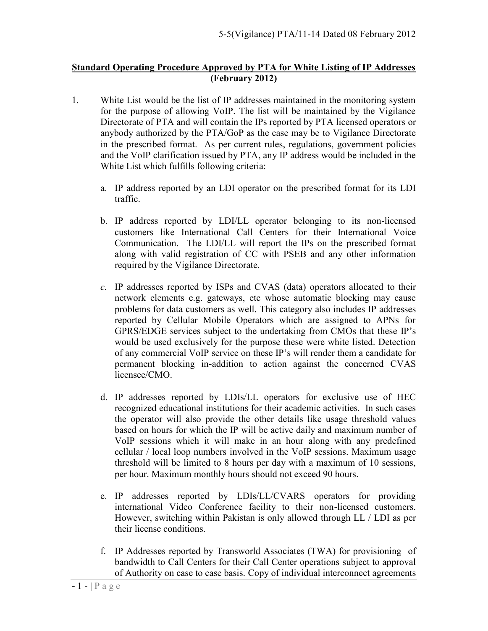## **Standard Operating Procedure Approved by PTA for White Listing of IP Addresses (February 2012)**

- 1. White List would be the list of IP addresses maintained in the monitoring system for the purpose of allowing VoIP. The list will be maintained by the Vigilance Directorate of PTA and will contain the IPs reported by PTA licensed operators or anybody authorized by the PTA/GoP as the case may be to Vigilance Directorate in the prescribed format. As per current rules, regulations, government policies and the VoIP clarification issued by PTA, any IP address would be included in the White List which fulfills following criteria:
	- a. IP address reported by an LDI operator on the prescribed format for its LDI traffic.
	- b. IP address reported by LDI/LL operator belonging to its non-licensed customers like International Call Centers for their International Voice Communication. The LDI/LL will report the IPs on the prescribed format along with valid registration of CC with PSEB and any other information required by the Vigilance Directorate.
	- *c.* IP addresses reported by ISPs and CVAS (data) operators allocated to their network elements e.g. gateways, etc whose automatic blocking may cause problems for data customers as well. This category also includes IP addresses reported by Cellular Mobile Operators which are assigned to APNs for GPRS/EDGE services subject to the undertaking from CMOs that these IP's would be used exclusively for the purpose these were white listed. Detection of any commercial VoIP service on these IP's will render them a candidate for permanent blocking in-addition to action against the concerned CVAS licensee/CMO.
	- d. IP addresses reported by LDIs/LL operators for exclusive use of HEC recognized educational institutions for their academic activities. In such cases the operator will also provide the other details like usage threshold values based on hours for which the IP will be active daily and maximum number of VoIP sessions which it will make in an hour along with any predefined cellular / local loop numbers involved in the VoIP sessions. Maximum usage threshold will be limited to 8 hours per day with a maximum of 10 sessions, per hour. Maximum monthly hours should not exceed 90 hours.
	- e. IP addresses reported by LDIs/LL/CVARS operators for providing international Video Conference facility to their non-licensed customers. However, switching within Pakistan is only allowed through LL / LDI as per their license conditions.
	- f. IP Addresses reported by Transworld Associates (TWA) for provisioning of bandwidth to Call Centers for their Call Center operations subject to approval of Authority on case to case basis. Copy of individual interconnect agreements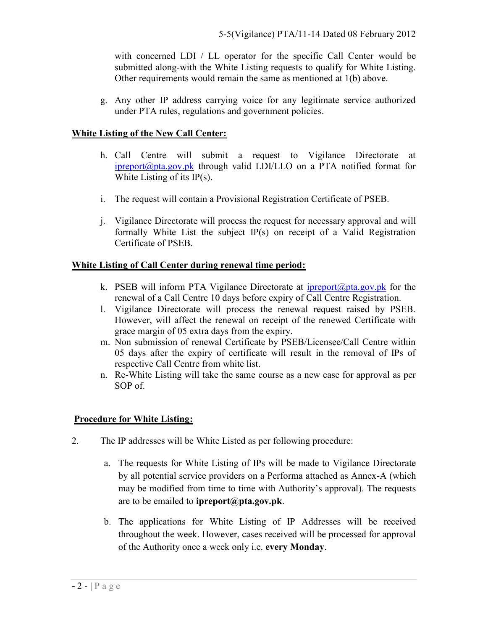with concerned  $LDI$  / fold the pesentecorific  $@$  and  $dC$  deneter sub mitted-wait ob nto he White Listian on uran between white Listing Other requirements would remain the same as mentione

g. Any othe raddress carrying voice for any legitimate service and under PTA rules, regulations and government policies .

White Listing of the New Call Center:

- h.Call Centre will submit a request to Vigilance  $ipreport@ptat.htm@woph$  $ipreport@ptat.htm@woph$  valid LDI/LLO on a PTA notified White Listing of its IP(s).
- i. The request will contain a Provisional Registration Ce
- j. Vigilance Directorate will process the request for nece formally White List the subject  $IP(s)$  on receipt of Certificate of PSEB.

White Lisotfin Cgall Center grenewal time period

- k. PSEB will inform PTA Vigilance polointe@ptot.afactre that is renewal of a Call Centre 10 days before expiry of Call
- I. Vigilance Directorate will process the renewal reque However, a third the renewal on receipt of the renewed Ce grace margenx tor ta Colsays from the expiry.
- m. Non submission of renewal Certificate by PSEB/Licens 05 days after the expiry of certificate will result in respective Call Centre from white list.
- n. ReWhite Listing will take rshee as a a mew case for approval and a new course and a **SOBf**

Procedure for White Listing

- 2. The IP addresses will be White Listed as per following p
	- a. The requests for WolfiPlus witch thistoget convigilator can tells byall potential servioon**e Pperrofor inadneeasched as A** Knownhei**o**ch may be modified from wittihm  $A$  uthorinty  $\frac{1}{2}$  apper or equests areo be emain bed pto  $\alpha$  if  $\omega$  pta.gov.pk
	- b. Theapplication Wshifteer Liscoting  $P$  Addrueisis bees receive throughout the owe experience iwe the processed for approval of the Autohnocreation of whele we are  $\mathbf v$ . Monday